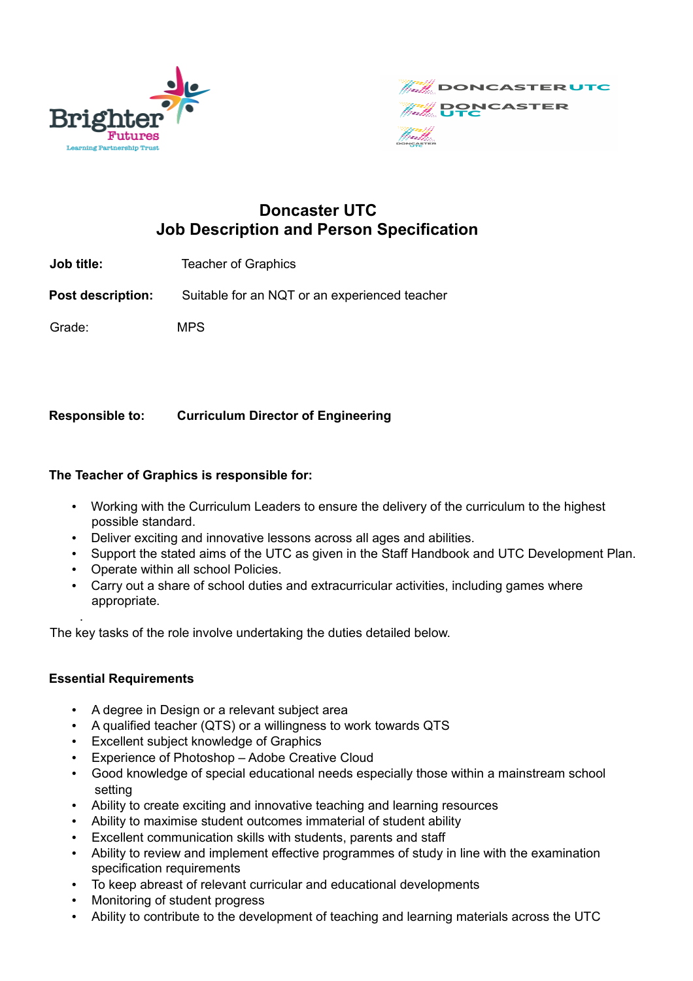



# **Doncaster UTC Job Description and Person Specification**

**Job title:** Teacher of Graphics

**Post description:** Suitable for an NQT or an experienced teacher

Grade: MPS

## **Responsible to: Curriculum Director of Engineering**

## **The Teacher of Graphics is responsible for:**

- Working with the Curriculum Leaders to ensure the delivery of the curriculum to the highest possible standard.
- Deliver exciting and innovative lessons across all ages and abilities.
- Support the stated aims of the UTC as given in the Staff Handbook and UTC Development Plan.
- Operate within all school Policies.
- Carry out a share of school duties and extracurricular activities, including games where appropriate.

The key tasks of the role involve undertaking the duties detailed below.

## **Essential Requirements**

.

- A degree in Design or a relevant subject area
- A qualified teacher (QTS) or a willingness to work towards QTS
- Excellent subject knowledge of Graphics
- Experience of Photoshop Adobe Creative Cloud
- Good knowledge of special educational needs especially those within a mainstream school setting
- Ability to create exciting and innovative teaching and learning resources
- Ability to maximise student outcomes immaterial of student ability
- Excellent communication skills with students, parents and staff
- Ability to review and implement effective programmes of study in line with the examination specification requirements
- To keep abreast of relevant curricular and educational developments
- Monitoring of student progress
- Ability to contribute to the development of teaching and learning materials across the UTC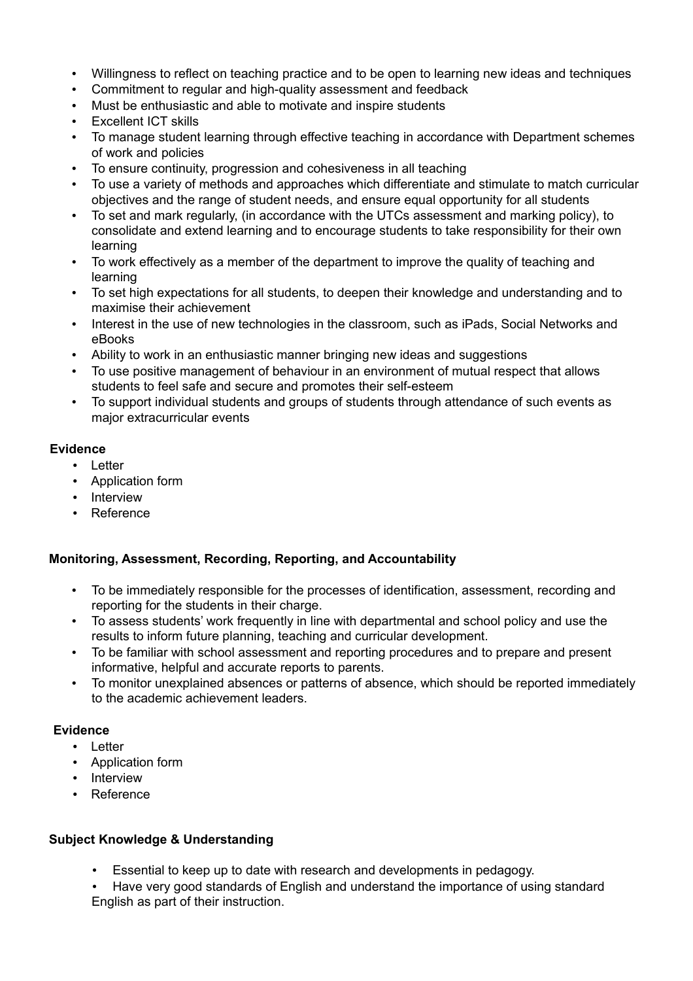- Willingness to reflect on teaching practice and to be open to learning new ideas and techniques
- Commitment to regular and high-quality assessment and feedback
- Must be enthusiastic and able to motivate and inspire students
- **Excellent ICT skills**
- To manage student learning through effective teaching in accordance with Department schemes of work and policies
- To ensure continuity, progression and cohesiveness in all teaching
- To use a variety of methods and approaches which differentiate and stimulate to match curricular objectives and the range of student needs, and ensure equal opportunity for all students
- To set and mark regularly, (in accordance with the UTCs assessment and marking policy), to consolidate and extend learning and to encourage students to take responsibility for their own learning
- To work effectively as a member of the department to improve the quality of teaching and learning
- To set high expectations for all students, to deepen their knowledge and understanding and to maximise their achievement
- Interest in the use of new technologies in the classroom, such as iPads, Social Networks and eBooks
- Ability to work in an enthusiastic manner bringing new ideas and suggestions
- To use positive management of behaviour in an environment of mutual respect that allows students to feel safe and secure and promotes their self-esteem
- To support individual students and groups of students through attendance of such events as major extracurricular events

#### **Evidence**

- Letter
- Application form
- Interview
- Reference

#### **Monitoring, Assessment, Recording, Reporting, and Accountability**

- To be immediately responsible for the processes of identification, assessment, recording and reporting for the students in their charge.
- To assess students' work frequently in line with departmental and school policy and use the results to inform future planning, teaching and curricular development.
- To be familiar with school assessment and reporting procedures and to prepare and present informative, helpful and accurate reports to parents.
- To monitor unexplained absences or patterns of absence, which should be reported immediately to the academic achievement leaders.

#### **Evidence**

- Letter
- Application form
- Interview
- Reference

#### **Subject Knowledge & Understanding**

- Essential to keep up to date with research and developments in pedagogy.
- Have very good standards of English and understand the importance of using standard English as part of their instruction.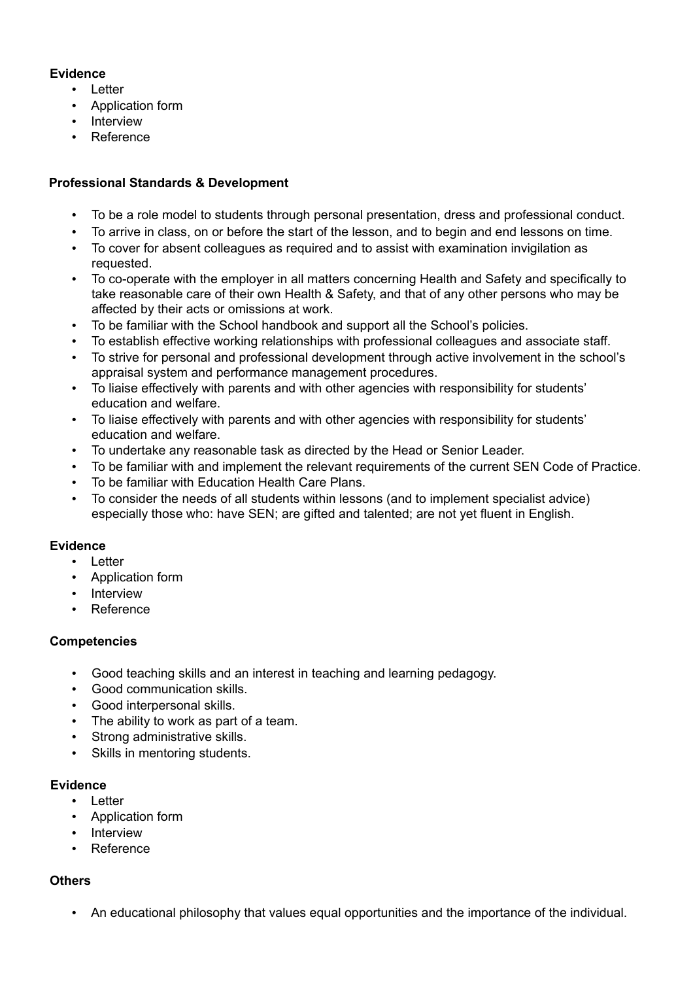## **Evidence**

- Letter
- Application form
- Interview
- Reference

## **Professional Standards & Development**

- To be a role model to students through personal presentation, dress and professional conduct.
- To arrive in class, on or before the start of the lesson, and to begin and end lessons on time.
- To cover for absent colleagues as required and to assist with examination invigilation as requested.
- To co-operate with the employer in all matters concerning Health and Safety and specifically to take reasonable care of their own Health & Safety, and that of any other persons who may be affected by their acts or omissions at work.
- To be familiar with the School handbook and support all the School's policies.
- To establish effective working relationships with professional colleagues and associate staff.
- To strive for personal and professional development through active involvement in the school's appraisal system and performance management procedures.
- To liaise effectively with parents and with other agencies with responsibility for students' education and welfare.
- To liaise effectively with parents and with other agencies with responsibility for students' education and welfare.
- To undertake any reasonable task as directed by the Head or Senior Leader.
- To be familiar with and implement the relevant requirements of the current SEN Code of Practice.
- To be familiar with Education Health Care Plans.
- To consider the needs of all students within lessons (and to implement specialist advice) especially those who: have SEN; are gifted and talented; are not yet fluent in English.

## **Evidence**

- Letter
- Application form
- Interview
- Reference

## **Competencies**

- Good teaching skills and an interest in teaching and learning pedagogy.
- Good communication skills.
- Good interpersonal skills.
- The ability to work as part of a team.
- Strong administrative skills.
- Skills in mentoring students.

## **Evidence**

- Letter
- Application form
- Interview
- Reference

## **Others**

• An educational philosophy that values equal opportunities and the importance of the individual.